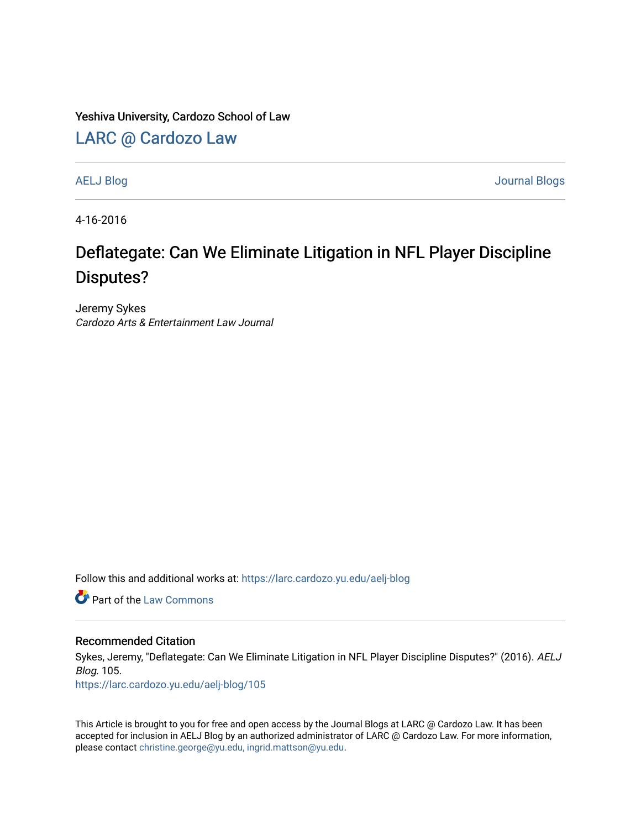Yeshiva University, Cardozo School of Law

[LARC @ Cardozo Law](https://larc.cardozo.yu.edu/)

[AELJ Blog](https://larc.cardozo.yu.edu/aelj-blog) [Journal Blogs](https://larc.cardozo.yu.edu/journal-blogs) 

4-16-2016

## Deflategate: Can We Eliminate Litigation in NFL Player Discipline Disputes?

Jeremy Sykes Cardozo Arts & Entertainment Law Journal

Follow this and additional works at: [https://larc.cardozo.yu.edu/aelj-blog](https://larc.cardozo.yu.edu/aelj-blog?utm_source=larc.cardozo.yu.edu%2Faelj-blog%2F105&utm_medium=PDF&utm_campaign=PDFCoverPages) 

**C** Part of the [Law Commons](http://network.bepress.com/hgg/discipline/578?utm_source=larc.cardozo.yu.edu%2Faelj-blog%2F105&utm_medium=PDF&utm_campaign=PDFCoverPages)

## Recommended Citation

Sykes, Jeremy, "Deflategate: Can We Eliminate Litigation in NFL Player Discipline Disputes?" (2016). AELJ Blog. 105.

[https://larc.cardozo.yu.edu/aelj-blog/105](https://larc.cardozo.yu.edu/aelj-blog/105?utm_source=larc.cardozo.yu.edu%2Faelj-blog%2F105&utm_medium=PDF&utm_campaign=PDFCoverPages) 

This Article is brought to you for free and open access by the Journal Blogs at LARC @ Cardozo Law. It has been accepted for inclusion in AELJ Blog by an authorized administrator of LARC @ Cardozo Law. For more information, please contact [christine.george@yu.edu, ingrid.mattson@yu.edu.](mailto:christine.george@yu.edu,%20ingrid.mattson@yu.edu)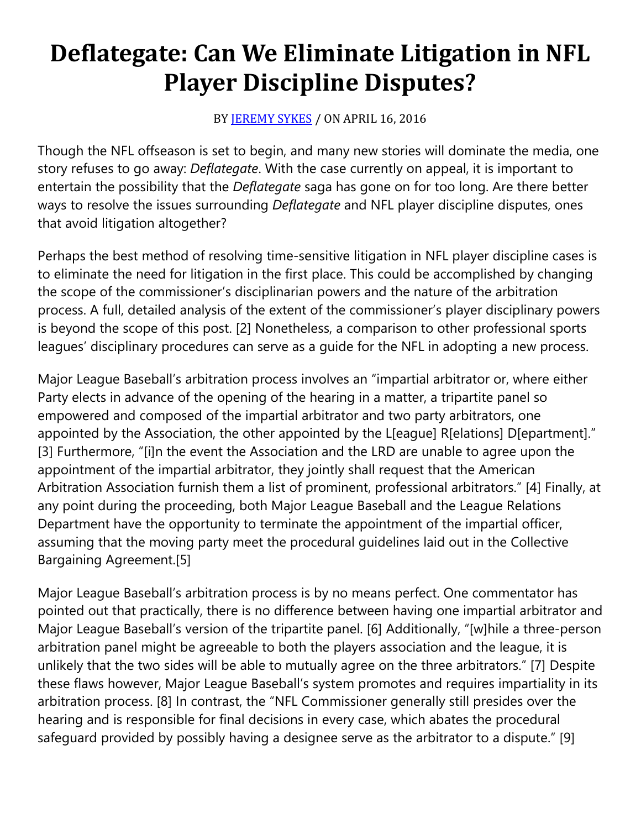## **Deflategate: Can We Eliminate Litigation in NFL Player Discipline Disputes?**

## BY **[JEREMY SYKES](https://cardozoaelj.com/author/jeremysykes/)** / ON APRIL 16, 2016

Though the NFL offseason is set to begin, and many new stories will dominate the media, one story refuses to go away: *Deflategate*. With the case currently on appeal, it is important to entertain the possibility that the *Deflategate* saga has gone on for too long. Are there better ways to resolve the issues surrounding *Deflategate* and NFL player discipline disputes, ones that avoid litigation altogether?

Perhaps the best method of resolving time-sensitive litigation in NFL player discipline cases is to eliminate the need for litigation in the first place. This could be accomplished by changing the scope of the commissioner's disciplinarian powers and the nature of the arbitration process. A full, detailed analysis of the extent of the commissioner's player disciplinary powers is beyond the scope of this post. [2] Nonetheless, a comparison to other professional sports leagues' disciplinary procedures can serve as a guide for the NFL in adopting a new process.

Major League Baseball's arbitration process involves an "impartial arbitrator or, where either Party elects in advance of the opening of the hearing in a matter, a tripartite panel so empowered and composed of the impartial arbitrator and two party arbitrators, one appointed by the Association, the other appointed by the L[eague] R[elations] D[epartment]." [3] Furthermore, "[i]n the event the Association and the LRD are unable to agree upon the appointment of the impartial arbitrator, they jointly shall request that the American Arbitration Association furnish them a list of prominent, professional arbitrators." [4] Finally, at any point during the proceeding, both Major League Baseball and the League Relations Department have the opportunity to terminate the appointment of the impartial officer, assuming that the moving party meet the procedural guidelines laid out in the Collective Bargaining Agreement.[5]

Major League Baseball's arbitration process is by no means perfect. One commentator has pointed out that practically, there is no difference between having one impartial arbitrator and Major League Baseball's version of the tripartite panel. [6] Additionally, "[w]hile a three-person arbitration panel might be agreeable to both the players association and the league, it is unlikely that the two sides will be able to mutually agree on the three arbitrators." [7] Despite these flaws however, Major League Baseball's system promotes and requires impartiality in its arbitration process. [8] In contrast, the "NFL Commissioner generally still presides over the hearing and is responsible for final decisions in every case, which abates the procedural safeguard provided by possibly having a designee serve as the arbitrator to a dispute." [9]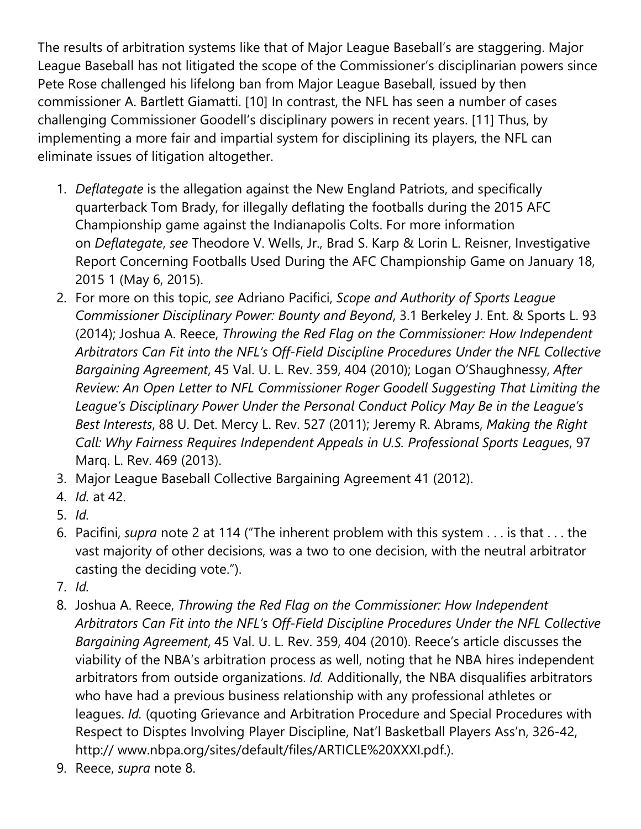The results of arbitration systems like that of Major League Baseball's are staggering. Major League Baseball has not litigated the scope of the Commissioner's disciplinarian powers since Pete Rose challenged his lifelong ban from Major League Baseball, issued by then commissioner A. Bartlett Giamatti. [10] In contrast, the NFL has seen a number of cases challenging Commissioner Goodell's disciplinary powers in recent years. [11] Thus, by implementing a more fair and impartial system for disciplining its players, the NFL can eliminate issues of litigation altogether.

- 1. *Deflategate* is the allegation against the New England Patriots, and specifically quarterback Tom Brady, for illegally deflating the footballs during the 2015 AFC Championship game against the Indianapolis Colts. For more information on *Deflategate*, *see* Theodore V. Wells, Jr., Brad S. Karp & Lorin L. Reisner, Investigative Report Concerning Footballs Used During the AFC Championship Game on January 18, 2015 1 (May 6, 2015).
- 2. For more on this topic, *see* Adriano Pacifici, *Scope and Authority of Sports League Commissioner Disciplinary Power: Bounty and Beyond*, 3.1 Berkeley J. Ent. & Sports L. 93 (2014); Joshua A. Reece, *Throwing the Red Flag on the Commissioner: How Independent Arbitrators Can Fit into the NFL's Off-Field Discipline Procedures Under the NFL Collective Bargaining Agreement*, 45 Val. U. L. Rev. 359, 404 (2010); Logan O'Shaughnessy, *After Review: An Open Letter to NFL Commissioner Roger Goodell Suggesting That Limiting the League's Disciplinary Power Under the Personal Conduct Policy May Be in the League's Best Interests*, 88 U. Det. Mercy L. Rev. 527 (2011); Jeremy R. Abrams, *Making the Right Call: Why Fairness Requires Independent Appeals in U.S. Professional Sports Leagues*, 97 Marq. L. Rev. 469 (2013).
- 3. Major League Baseball Collective Bargaining Agreement 41 (2012).
- 4. *Id.* at 42.
- 5. *Id.*
- 6. Pacifini, *supra* note 2 at 114 ("The inherent problem with this system . . . is that . . . the vast majority of other decisions, was a two to one decision, with the neutral arbitrator casting the deciding vote.").
- 7. *Id.*
- 8. Joshua A. Reece, *Throwing the Red Flag on the Commissioner: How Independent Arbitrators Can Fit into the NFL's Off-Field Discipline Procedures Under the NFL Collective Bargaining Agreement*, 45 Val. U. L. Rev. 359, 404 (2010). Reece's article discusses the viability of the NBA's arbitration process as well, noting that he NBA hires independent arbitrators from outside organizations. *Id.* Additionally, the NBA disqualifies arbitrators who have had a previous business relationship with any professional athletes or leagues. *Id.* (quoting Grievance and Arbitration Procedure and Special Procedures with Respect to Disptes Involving Player Discipline, Nat'l Basketball Players Ass'n, 326-42, http:// www.nbpa.org/sites/default/files/ARTICLE%20XXXI.pdf.).
- 9. Reece, *supra* note 8.